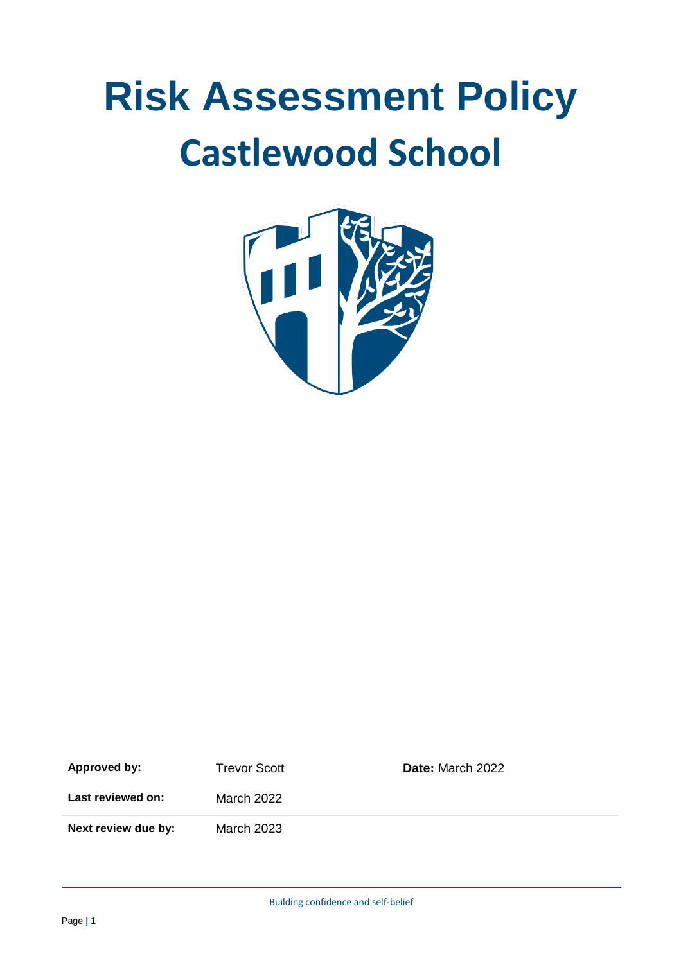# **Risk Assessment Policy Castlewood School**



| Approved by:        | <b>Trevor Scott</b> | <b>Date:</b> March 2022 |
|---------------------|---------------------|-------------------------|
| Last reviewed on:   | March 2022          |                         |
| Next review due by: | March 2023          |                         |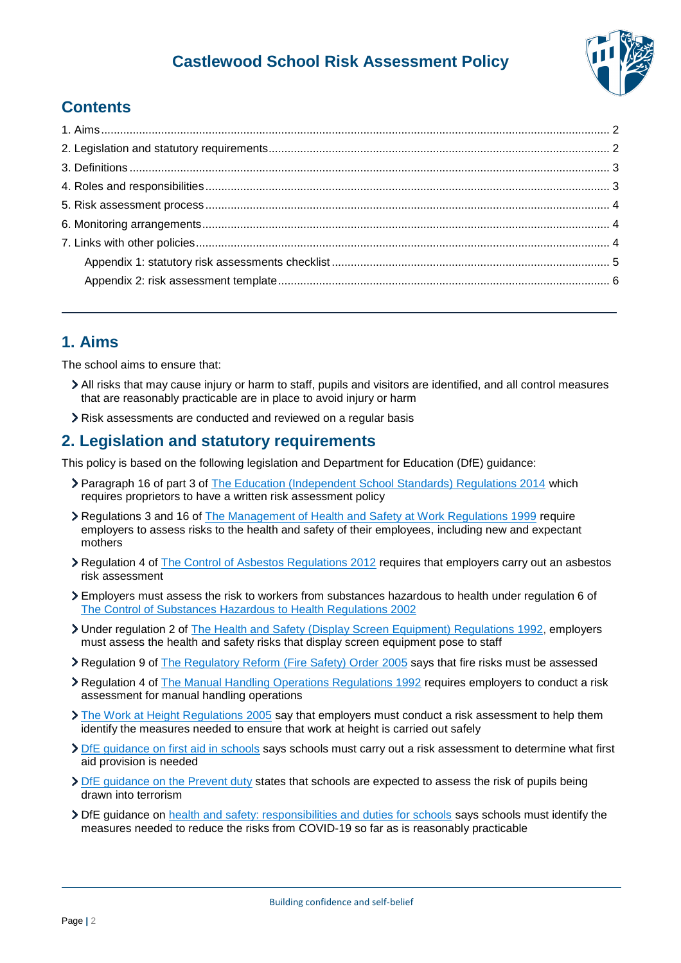

# **Contents**

# <span id="page-1-0"></span>**1. Aims**

The school aims to ensure that:

- All risks that may cause injury or harm to staff, pupils and visitors are identified, and all control measures that are reasonably practicable are in place to avoid injury or harm
- Risk assessments are conducted and reviewed on a regular basis

## <span id="page-1-1"></span>**2. Legislation and statutory requirements**

This policy is based on the following legislation and Department for Education (DfE) guidance:

- Paragraph 16 of part 3 of [The Education \(Independent School Standards\) Regulations 2014](http://www.legislation.gov.uk/uksi/2014/3283/schedule/part/3/made) which requires proprietors to have a written risk assessment policy
- Regulations 3 and 16 of [The Management of Health and Safety at Work Regulations 1999](http://www.legislation.gov.uk/uksi/1999/3242/contents/made) require employers to assess risks to the health and safety of their employees, including new and expectant mothers
- Regulation 4 of [The Control of Asbestos Regulations 2012](http://www.legislation.gov.uk/uksi/2012/632/regulation/4/made) requires that employers carry out an asbestos risk assessment
- Employers must assess the risk to workers from substances hazardous to health under regulation 6 of [The Control of Substances Hazardous to Health Regulations 2002](http://www.legislation.gov.uk/uksi/2002/2677/regulation/6/made)
- Under regulation 2 of [The Health and Safety \(Display Screen Equipment\) Regulations 1992,](http://www.legislation.gov.uk/uksi/1992/2792/regulation/2/made) employers must assess the health and safety risks that display screen equipment pose to staff
- Regulation 9 of [The Regulatory Reform \(Fire Safety\) Order](http://www.legislation.gov.uk/uksi/2005/1541/article/9/made) 2005 says that fire risks must be assessed
- Regulation 4 of [The Manual Handling Operations Regulations 1992](http://www.legislation.gov.uk/uksi/1992/2793/regulation/4/made) requires employers to conduct a risk assessment for manual handling operations
- [The Work at Height Regulations 2005](http://www.legislation.gov.uk/uksi/2005/735/regulation/6/made) say that employers must conduct a risk assessment to help them identify the measures needed to ensure that work at height is carried out safely
- DfE quidance on first aid in schools says schools must carry out a risk assessment to determine what first aid provision is needed
- [DfE guidance on the Prevent duty](https://www.gov.uk/government/publications/prevent-duty-guidance) states that schools are expected to assess the risk of pupils being drawn into terrorism
- DfE guidance on [health and safety: responsibilities and duties for schools](https://www.gov.uk/government/publications/health-and-safety-advice-for-schools/responsibilities-and-duties-for-schools#covid-19) says schools must identify the measures needed to reduce the risks from COVID-19 so far as is reasonably practicable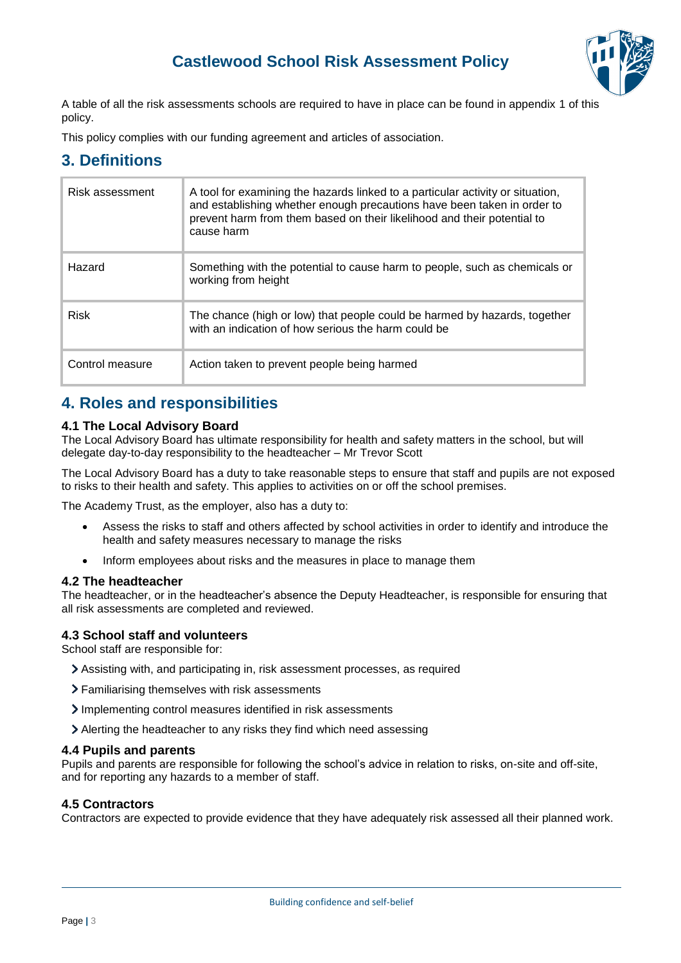

A table of all the risk assessments schools are required to have in place can be found in appendix 1 of this policy.

This policy complies with our funding agreement and articles of association.

## <span id="page-2-0"></span>**3. Definitions**

| Risk assessment | A tool for examining the hazards linked to a particular activity or situation,<br>and establishing whether enough precautions have been taken in order to<br>prevent harm from them based on their likelihood and their potential to<br>cause harm |
|-----------------|----------------------------------------------------------------------------------------------------------------------------------------------------------------------------------------------------------------------------------------------------|
| Hazard          | Something with the potential to cause harm to people, such as chemicals or<br>working from height                                                                                                                                                  |
| <b>Risk</b>     | The chance (high or low) that people could be harmed by hazards, together<br>with an indication of how serious the harm could be                                                                                                                   |
| Control measure | Action taken to prevent people being harmed                                                                                                                                                                                                        |

## <span id="page-2-1"></span>**4. Roles and responsibilities**

#### **4.1 The Local Advisory Board**

The Local Advisory Board has ultimate responsibility for health and safety matters in the school, but will delegate day-to-day responsibility to the headteacher – Mr Trevor Scott

The Local Advisory Board has a duty to take reasonable steps to ensure that staff and pupils are not exposed to risks to their health and safety. This applies to activities on or off the school premises.

The Academy Trust, as the employer, also has a duty to:

- Assess the risks to staff and others affected by school activities in order to identify and introduce the health and safety measures necessary to manage the risks
- Inform employees about risks and the measures in place to manage them

#### **4.2 The headteacher**

The headteacher, or in the headteacher's absence the Deputy Headteacher, is responsible for ensuring that all risk assessments are completed and reviewed.

#### **4.3 School staff and volunteers**

School staff are responsible for:

- Assisting with, and participating in, risk assessment processes, as required
- Familiarising themselves with risk assessments
- > Implementing control measures identified in risk assessments
- Alerting the headteacher to any risks they find which need assessing

#### **4.4 Pupils and parents**

Pupils and parents are responsible for following the school's advice in relation to risks, on-site and off-site, and for reporting any hazards to a member of staff.

#### **4.5 Contractors**

Contractors are expected to provide evidence that they have adequately risk assessed all their planned work.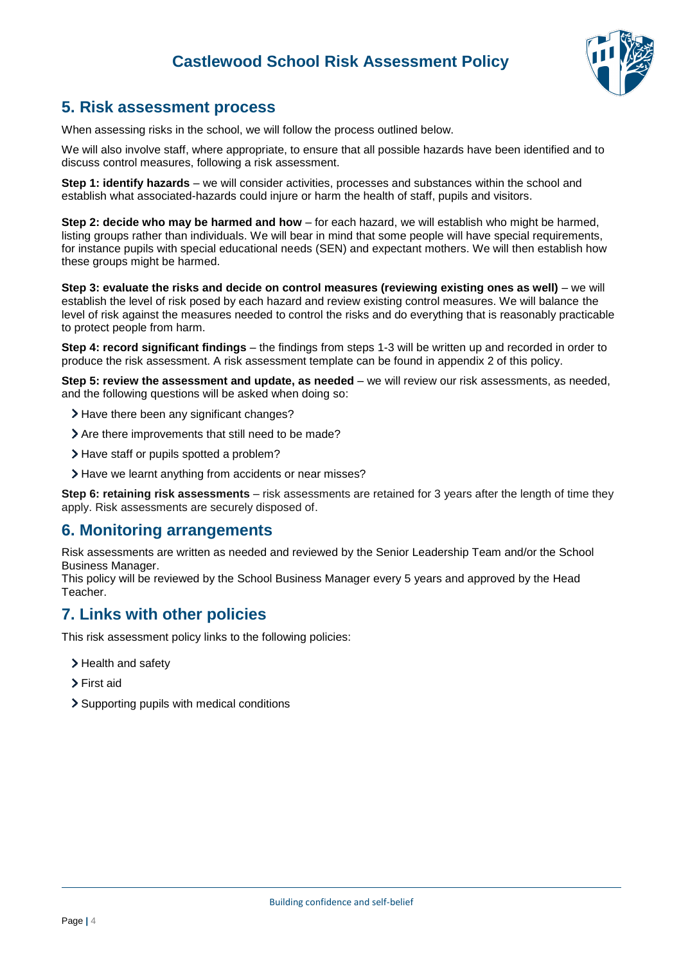

## <span id="page-3-0"></span>**5. Risk assessment process**

When assessing risks in the school, we will follow the process outlined below.

We will also involve staff, where appropriate, to ensure that all possible hazards have been identified and to discuss control measures, following a risk assessment.

**Step 1: identify hazards** – we will consider activities, processes and substances within the school and establish what associated-hazards could injure or harm the health of staff, pupils and visitors.

**Step 2: decide who may be harmed and how** – for each hazard, we will establish who might be harmed, listing groups rather than individuals. We will bear in mind that some people will have special requirements, for instance pupils with special educational needs (SEN) and expectant mothers. We will then establish how these groups might be harmed.

**Step 3: evaluate the risks and decide on control measures (reviewing existing ones as well)** – we will establish the level of risk posed by each hazard and review existing control measures. We will balance the level of risk against the measures needed to control the risks and do everything that is reasonably practicable to protect people from harm.

**Step 4: record significant findings** – the findings from steps 1-3 will be written up and recorded in order to produce the risk assessment. A risk assessment template can be found in appendix 2 of this policy.

**Step 5: review the assessment and update, as needed** – we will review our risk assessments, as needed, and the following questions will be asked when doing so:

- > Have there been any significant changes?
- Are there improvements that still need to be made?
- Have staff or pupils spotted a problem?
- > Have we learnt anything from accidents or near misses?

**Step 6: retaining risk assessments** – risk assessments are retained for 3 years after the length of time they apply. Risk assessments are securely disposed of.

#### <span id="page-3-1"></span>**6. Monitoring arrangements**

Risk assessments are written as needed and reviewed by the Senior Leadership Team and/or the School Business Manager.

This policy will be reviewed by the School Business Manager every 5 years and approved by the Head Teacher.

# <span id="page-3-2"></span>**7. Links with other policies**

This risk assessment policy links to the following policies:

- > Health and safety
- > First aid
- Supporting pupils with medical conditions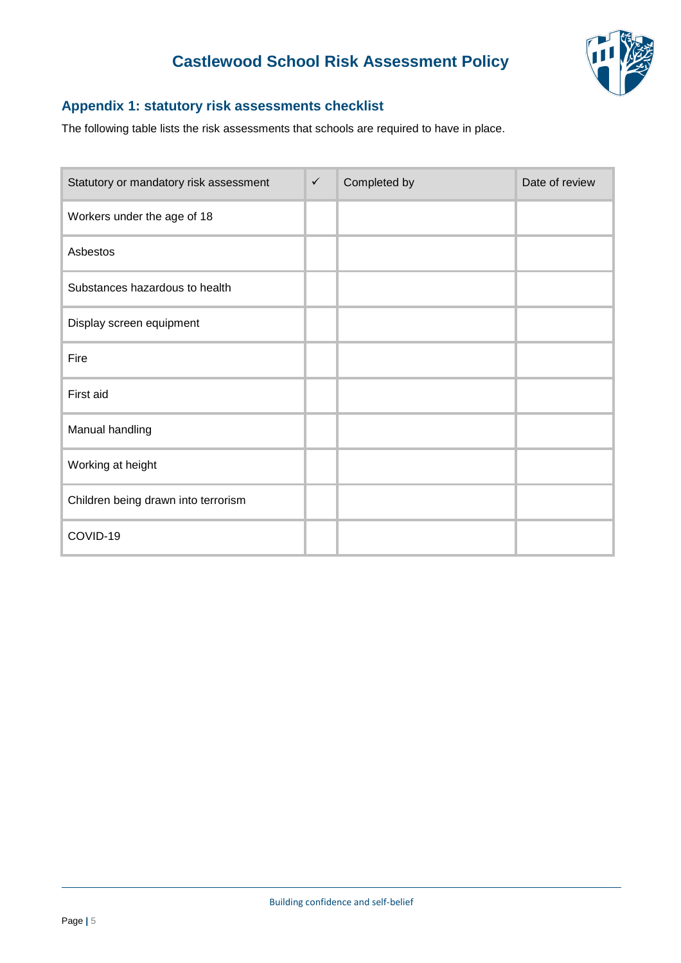

### <span id="page-4-0"></span>**Appendix 1: statutory risk assessments checklist**

The following table lists the risk assessments that schools are required to have in place.

| Statutory or mandatory risk assessment | $\checkmark$ | Completed by | Date of review |
|----------------------------------------|--------------|--------------|----------------|
| Workers under the age of 18            |              |              |                |
| Asbestos                               |              |              |                |
| Substances hazardous to health         |              |              |                |
| Display screen equipment               |              |              |                |
| Fire                                   |              |              |                |
| First aid                              |              |              |                |
| Manual handling                        |              |              |                |
| Working at height                      |              |              |                |
| Children being drawn into terrorism    |              |              |                |
| COVID-19                               |              |              |                |